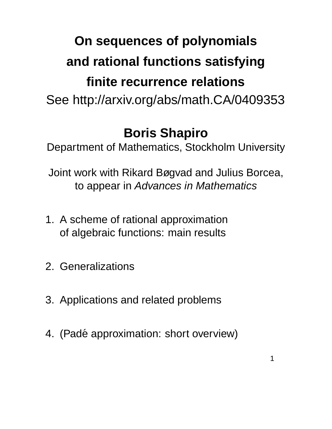# **On sequences of polynomials and rational functions satisfying finite recurrence relations** See http://arxiv.org/abs/math.CA/0409353

## **Boris Shapiro**

Department of Mathematics, Stockholm University

Joint work with Rikard Bøgvad and Julius Borcea, to appear in Advances in Mathematics

- 1. A scheme of rational approximation of algebraic functions: main results
- 2. Generalizations
- 3. Applications and related problems
- 4. (Padé approximation: short overview)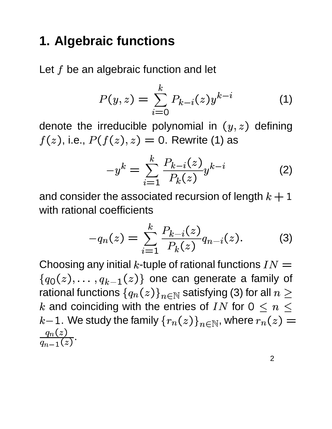## **1. Algebraic functions**

Let  $f$  be an algebraic function and let

$$
P(y, z) = \sum_{i=0}^{k} P_{k-i}(z) y^{k-i}
$$
 (1)

denote the irreducible polynomial in  $(y, z)$  defining  $f(z)$ , i.e.,  $P(f(z),z)=$  0. Rewrite (1) as

$$
-y^{k} = \sum_{i=1}^{k} \frac{P_{k-i}(z)}{P_k(z)} y^{k-i}
$$
 (2)

and consider the associated recursion of length  $k+1$ with rational coefficients

$$
-q_n(z) = \sum_{i=1}^k \frac{P_{k-i}(z)}{P_k(z)} q_{n-i}(z). \tag{3}
$$

Choosing any initial k-tuple of rational functions  $IN =$  $\int \alpha_2(x)$   $\alpha_1(x)$  $q_{k-1}(z)\}$  one can generate a family of rational functions  $\{q_n(z)\}_{n\in\mathbb{Z}}$ . . . . . . .  $(z)\}_{n\in\mathbb{N}}$  satisfying (3) for all  $n\geq 1$  $k$  and coinciding with the entries of  $IN$  for  $0\,\leq\,n\,\leq\,$  $k\!-\!1.$  We study the family  $\{r_n(z)\}_{n\in\mathbb{N}},$  where  $r_n(z)=0$  $\frac{q_n(z)}{q_{n-1}(z)}$ .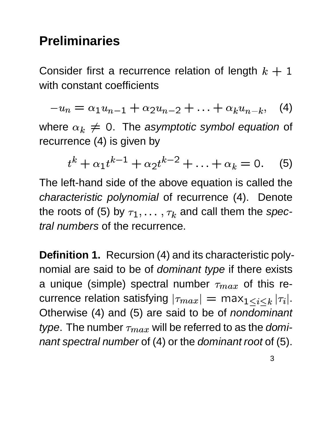## **Preliminaries**

Consider first a recurrence relation of length  $k + 1$ with constant coefficients

$$
-u_n = \alpha_1 u_{n-1} + \alpha_2 u_{n-2} + \ldots + \alpha_k u_{n-k}, \quad (4)
$$

where  $\alpha_k \neq 0$ . The asymptotic symbol equation of recurrence (4) is given by

$$
t^{k} + \alpha_{1} t^{k-1} + \alpha_{2} t^{k-2} + \ldots + \alpha_{k} = 0. \quad (5)
$$

The left-hand side of the above equation is called the characteristic polynomial of recurrence (4). Denote the roots of (5) by  $\tau_1,\ldots,\tau_k$  ar  $\tau_k$  and call them the spectral numbers of the recurrence.

**Definition 1.** Recursion (4) and its characteristic polynomial are said to be of *dominant type* if there exists a unique (simple) spectral number  $\tau_{max}$  of this recurrence relation satisfying  $|\tau_{max}|=$  max $_{1\leq i\leq k}|\tau_i|.$ Otherwise (4) and (5) are said to be of *nondominant*  . type. The number  $\tau_{max}$  will be referred to as the dominant spectral number of (4) or the dominant root of (5).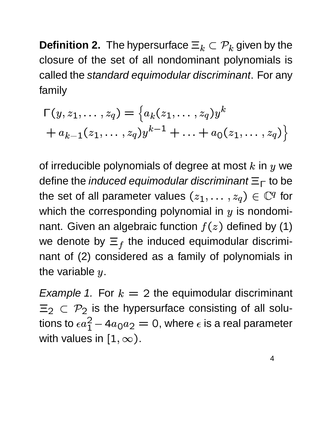**Definition 2.** The hypersurface  $\equiv_k\ \subset \mathcal{P}_k$  given by the closure of the set of all nondominant polynomials is called the standard equimodular discriminant. For any family

$$
\Gamma(y, z_1, \dots, z_q) = \left\{ a_k(z_1, \dots, z_q) y^k + a_{k-1}(z_1, \dots, z_q) y^{k-1} + \dots + a_0(z_1, \dots, z_q) \right\}
$$

of irreducible polynomials of degree at most  $k$  in  $y$  we define the *induced equimodular discriminant*  $\equiv_{\sqsubset}$  to be the set of all parameter values  $(z_1,\ldots,z_q)\in\mathbb{C}^q$  for which the corresponding polynomial in  $y$  is nondominant. Given an algebraic function  $f(z)$  defined by (1) we denote by  $\equiv_f$  the induced equimodular discriminant of (2) considered as a family of polynomials in the variable  $y.$ 

*Example 1.* For  $k = 2$  the equimodular discriminant  $_2\, \subset\, \mathcal{P}_2$  is the hypersurface consisting of all solutions to  $\epsilon a_1^2-4a_0a_2$   $a_0a_2=$  0, where  $\epsilon$  is a real parameter with values in  $[1,\infty).$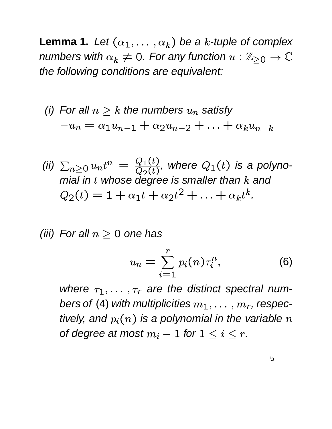**Lemma 1.** Let  $(\alpha_1, \ldots, \alpha_k)$  be a k-tuple of complex numbers with  $\alpha_k\neq 0.$  For any function  $u:\mathbb{Z}_{\geq 0}\to \mathbb{C}$ the following conditions are equivalent:

(i) For all 
$$
n \ge k
$$
 the numbers  $u_n$  satisfy  
\n
$$
-u_n = \alpha_1 u_{n-1} + \alpha_2 u_{n-2} + \ldots + \alpha_k u_{n-k}
$$

(ii) 
$$
\sum_{n\geq 0} u_n t^n = \frac{Q_1(t)}{Q_2(t)}
$$
, where  $Q_1(t)$  is a polynomial in  $t$  whose degree is smaller than  $k$  and  $Q_2(t) = 1 + \alpha_1 t + \alpha_2 t^2 + \ldots + \alpha_k t^k$ .

(iii) For all  $n\geq 0$  one has

$$
u_n = \sum_{i=1}^r p_i(n) \tau_i^n, \qquad (6)
$$

where  $\tau_1, \ldots, \tau_r$  and  $\tau_r$  are the distinct spectral numbers of (4) with multiplicities  $m_1, \ldots, m_r$ , resp  $m_{\it r}$  , respectively, and  $p_i(n)$  is a polynomial in the variable of degree at most  $m_i-1$  for  $1\leq i\leq r.$ ) is a polynomial in the variable  $n$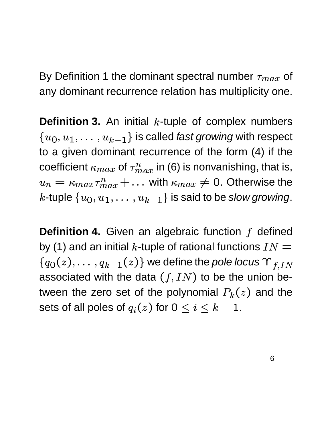By Definition 1 the dominant spectral number  $\tau_{max}$  of any dominant recurrence relation has multiplicity one.

**Definition 3.** An initial  $k$ -tuple of complex numbers  $\int a_1 a_2 a_2$  $\{u_{k-1}\}$  is called *fast growing* with respect  to a given dominant recurrence of the form (4) if the coefficient  $\kappa_{max}$  of  $\tau_{max}^n$  in (6) is nonvanishing, that is,  $u_n = \kappa_{max} \tau_{max}^n + \ldots \text{ with } \kappa_{max} \neq 0$  $\ldots \,$  with  $\kappa_{max} \neq 0.$  Otherwise the  $k$ -tuple  $\{u_0, u_1, \ldots, u_{k-1}\}$  $i\{u_{k-1}\}$  is said to be slow growing.

**Definition 4.** Given an algebraic function f defined by (1) and an initial k-tuple of rational functions  $IN =$  $\int \alpha_2(x)$   $\alpha_1(x)$  $q_{k-1}(z) \}$  we define the *pole locus*  $\Upsilon_{f,IN}$ associated with the data  $(f, IN)$  to ----------------) to be the union between the zero set of the polynomial  $P_k(z)$  and the sets of all poles of  $q_i(z)$  for  $0\leq i\leq k-1.$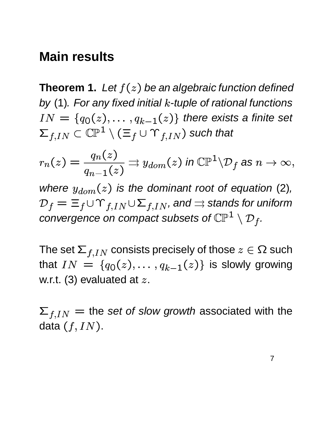#### **Main results**

**Theorem 1.** Let  $f(z)$  be an algebraic function defined by (1). For any fixed initial  $k$ -tuple of rational functions  $IN = \{q_0(z), \ldots, q_{k-1}\}$  $q_{k-1}(z)\}$  there exists a finite set — маркитин са се се се на села в села во село во село во село во село во село во село во село во село во село во  $f_{IN} \subset \mathbb{CP}^1 \setminus (\Xi_f \cup \Upsilon)$  $\equiv$   $_{\rm f}$   $\cup$   $\Upsilon$   $_{\rm f}$   $_{\rm I}$   $_{\rm N}$   $\rangle$  such that such that

$$
r_n(z)=\frac{q_n(z)}{q_{n-1}(z)}\rightrightarrows y_{dom}(z)\ \text{in}\ \mathbb{CP}^1\backslash \mathcal{D}_f\ \text{as}\ n\to\infty,
$$

where  $y_{dom}(z)$  is the dominant root of equation (2),  $\tau_f = \equiv$   $\tau_f \cup \Upsilon_{f,IN} \cup \Sigma_{f,IN}$ , and  $\Rightarrow$  stands for uniform convergence on compact subsets of  $\mathbb{CP}^1\setminus {\cal D}_f$  .  $f \cdot$ 

The set  $\mathsf{\Sigma}_{f,IN}$  consists precisely of those  $z\in\Omega$  such that  $IN = \{q_0(z), \ldots, q_k\}$  $\alpha_2(\gamma)$   $\alpha_1$  $q_{k-1}(z)\}$  is slowly growing w.r.t. (3) evaluated at  $z$ .

 $\overline{\phantom{a}}$  , and the contract of the contract of the contract of the contract of the contract of the contract of the contract of the contract of the contract of the contract of the contract of the contract of the contrac  $t_{IN}$  = the set of slow growth associated with the data  $(f,IN)$ . .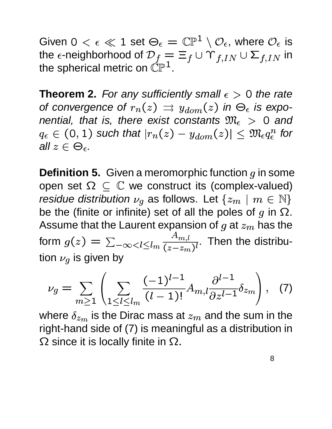Given  $0 < \epsilon \ll 1$  set  $\Theta_\epsilon = \mathbb{CP}^1 \setminus \mathcal{O}_\epsilon$ , where  $\mathcal{O}_\epsilon$  is the  $\epsilon$ -neighborhood of  ${\cal D}_f = \Xi_f \cup \Upsilon_{f,IN} \cup \Sigma_{f,IN}$  in the spherical metric on  $\check{\mathbb{CP}}^1$ .  $\;\;\check{}\;$ 

**Theorem 2.** For any sufficiently small  $\epsilon > 0$  the rate of convergence of  $r_n(z) \Rightarrow y_{don}$  $\Rightarrow$   $y_{dom}(z)$  in  $\Theta_\epsilon$  is exponential, that is, there exist constants  $\mathfrak{M}_\epsilon\ >\ 0$  and  $g_\epsilon\in$  (0.1) such t . . . . . . . . . . . ) such that  $|r_n(z)-y_{dom}(z)|\leq \mathfrak{M}_{\epsilon}q_{\epsilon}^n$  for all  $z\in\Theta_\epsilon.$ 

**Definition 5.** Given a meromorphic function  $q$  in some open set  $\Omega \subseteq \mathbb{C}$  we construct its (complex-valued) residue distribution  $\nu_q$  as follows. Let  $\{z_m\mid m\in\mathbb{N}\}$ be the (finite or infinite) set of all the poles of  $g$  in  $\Omega$ . Assume that the Laurent expansion of  $g$  at  $z_m$  has the form  $g(z) = \sum_{-\infty < l \leq l_m} \frac{z^{\frac{l}{l}}}{\sqrt{z^{\frac{l}{l}}}}$  $\sum_{-\infty}$  <  $l \leq l$ <sub>m</sub>  $\overline{(z-z_m)^l}$ .  $(z-z_m)^{l}$  " . Then the distribution  $\nu_g$  is given by

$$
\nu_g = \sum_{m \ge 1} \left( \sum_{1 \le l \le l_m} \frac{(-1)^{l-1}}{(l-1)!} A_{m,l} \frac{\partial^{l-1}}{\partial z^{l-1}} \delta_{z_m} \right), \quad (7)
$$

where  $\delta_{z_m}$  is the Dirac mass at  $z_m$  and the sum in the right-hand side of (7) is meaningful as a distribution in  $\Omega$  since it is locally finite in  $\Omega.$ 

 $\blacksquare$  . The contract of the contract of the contract of the contract of the contract of the contract of the contract of the contract of the contract of the contract of the contract of the contract of the contract of the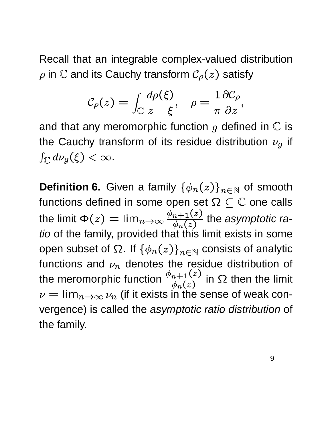Recall that an integrable complex-valued distribution  $\rho$  in  $\mathbb C$  and its Cauchy transform  $\mathcal C_\rho(z)$  satisfy .

$$
\mathcal{C}_{\rho}(z) = \int_{\mathbb{C}} \frac{d\rho(\xi)}{z - \xi}, \quad \rho = \frac{1}{\pi} \frac{\partial \mathcal{C}_{\rho}}{\partial \overline{z}},
$$

and that any meromorphic function  $g$  defined in  $\mathbb C$  is the Cauchy transform of its residue distribution  $\nu_q$  if  $(\xi)<\infty.$ 

**Definition 6.** Given a family  $\{\phi_n(z)\}_{n\in\mathbb{N}}$   $(z)\}_{n\in\mathbb{N}}$  of smooth functions defined in some open set  $\Omega \subseteq \mathbb{C}$  one calls the limit  $\Phi(z) = \lim_{n \to \infty}$  $\overline{ }$  -  $\overline{ }$  -  $\overline{ }$  -  $\overline{ }$  -  $\overline{ }$  -  $\overline{ }$  -  $\overline{ }$  -  $\overline{ }$  -  $\overline{ }$  -  $\overline{ }$  -  $\overline{ }$  -  $\overline{ }$  -  $\overline{ }$  -  $\overline{ }$  -  $\overline{ }$  -  $\overline{ }$  -  $\overline{ }$  -  $\overline{ }$  -  $\overline{ }$  -  $\overline{ }$  -  $\overline{ }$  -  $\overline{ }$  -  $\frac{\phi_{n+1}(z)}{\phi_{n+1}(z)}$  the *asymptotic ra*tio of the family, provided that this limit exists in some open subset of  $\Omega$ . If  $\{\phi_n(z)\}_{n\in\mathbb{N}}$   $(z)\}_{n\in\mathbb{N}}$  consists of analytic functions and  $\nu_n$  denotes the residue distribution of the meromorphic function  $\frac{\phi_{n+1}(z)}{\phi_{n+1}(z)}$  in  $\Omega$  then the limit  $\nu = \lim_{n \to \infty} \nu_n$  (if it exis  $_{n\rightarrow\infty}$   $\nu_{n}$  (if it exists in the sense of weak convergence) is called the asymptotic ratio distribution of the family.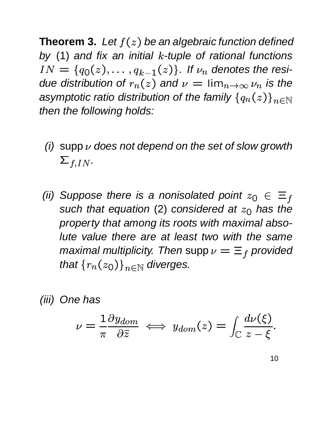**Theorem 3.** Let  $f(z)$  be an algebraic function defined by (1) and fix an initial  $k$ -tuple of rational functions  $IN = \{q_0(z), \ldots, q_{k-1}\}$  $q_{k-1}(z)\}$ . If  $\nu_n$  denotes the residue distribution of  $r_n(z)$  and  $\nu = \lim_{n\to\infty} \nu_n$  is t  $n{\rightarrow}\infty\,{\nu}_n$  is the asymptotic ratio distribution of the family  $\{q_n(z)\}_{n\in\mathbb{N}}$ . . . . . . . .  $\left\{\gamma\right\}_{\gamma\in\mathbb{N}}$ then the following holds:

- (i) supp  $\nu$  does not depend on the set of slow growth  $f$ ,  $IN$ .
- (ii) Suppose there is a nonisolated point  $z_0 \in \Xi_f$ such that equation (2) considered at  $z_0$  has the property that among its roots with maximal absolute value there are at least two with the same maximal multiplicity. Then supp  $\nu=\Xi_f$  provided that  $\{r_n(z_0)\}_{n\in\mathbb{N}}$  di  $\left\{\right\}_{n\in\mathbb{N}}$  diverges.

(iii) One has

$$
\nu = \frac{1}{\pi} \frac{\partial y_{dom}}{\partial \overline{z}} \iff y_{dom}(z) = \int_{\mathbb{C}} \frac{d\nu(\xi)}{z - \xi}.
$$

10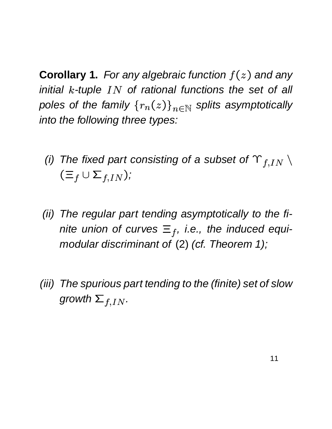**Corollary 1.** For any algebraic function  $f(z)$  and any initial  $k$ -tuple  $IN$  of rational functions the set of all poles of the family  $\{r_n(z)\}_{n\in\mathbb{N}}$  splits asymptotically into the following three types:

- (i) The fixed part consisting of a subset of  $\Upsilon_{f,IN}$   $\setminus$ - $\Xi_f \cup \Sigma_{fIN}$ );  $);$
- (ii) The regular part tending asymptotically to the finite union of curves  $\equiv_f$ , i.e., the induced equimodular discriminant of (2) (cf. Theorem 1);
- (iii) The spurious part tending to the (finite) set of slow growth  $\Sigma_{f. IN}$  .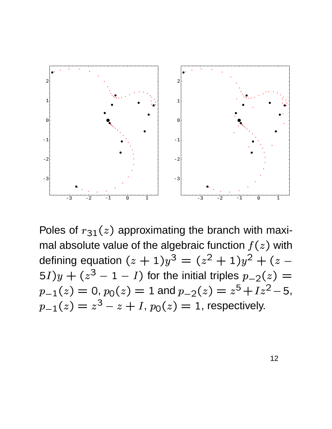

Poles of  $r_{31}(z)$  approximate  $r_{31}(z)$  $_{1}(z)$  approximating the branch with maximal absolute value of the algebraic function  $f(z)$  with defining equation  $(z+1)y^3$   $\overline{a}$   $\overline{a}$   $\overline{a}$   $\overline{a}$   $\overline{a}$   $\overline{a}$   $\overline{a}$   $\overline{a}$   $\overline{a}$   $\overline{a}$   $\overline{a}$   $\overline{a}$   $\overline{a}$   $\overline{a}$   $\overline{a}$   $\overline{a}$   $\overline{a}$   $\overline{a}$   $\overline{a}$   $\overline{a}$   $\overline{a}$   $\overline{a}$   $\overline{a}$   $\overline{a}$   $\overline{$   $\sim$   $\sim$   $\sim$ and the contract of the contract of the contract of the contract of the contract of the contract of the contract of -  $\overline{\phantom{a}}$  and  $\overline{\phantom{a}}$  and  $\overline{\phantom{a}}$  and  $\overline{\phantom{a}}$  and  $\overline{\phantom{a}}$  and  $\overline{\phantom{a}}$  and  $\overline{\phantom{a}}$  and  $\overline{\phantom{a}}$  and  $\overline{\phantom{a}}$  and  $\overline{\phantom{a}}$  and  $\overline{\phantom{a}}$  and  $\overline{\phantom{a}}$  and  $\overline{\phantom{a}}$  and  $\overline{\phantom{a}}$  a  $(5I)u + (z^3 - 1 - I)$  for  $f_1 - 1 - I$ ) for the initial triples  $p_{-2}(z) =$ the contract of the contract of the contract of the contract of the contract of the contract of the contract of  $\overline{\rho}_1(z)=0,$   $\overline{p}_0(z)=1$  ar  $\Gamma_0(z) = 1$  and  $p_{-2}(z) = z^5 + Iz^2 - 5$ ,  $+ Iz^2 - 5,$  $\frac{1}{2}$   $\frac{1}{2}$   $\frac{1}{2}$   $\frac{1}{2}$   $\frac{1}{2}$   $\frac{1}{2}$   $\frac{1}{2}$   $\frac{1}{2}$   $\frac{1}{2}$   $\frac{1}{2}$   $\frac{1}{2}$   $\frac{1}{2}$   $\frac{1}{2}$   $\frac{1}{2}$   $\frac{1}{2}$   $\frac{1}{2}$   $\frac{1}{2}$   $\frac{1}{2}$   $\frac{1}{2}$   $\frac{1}{2}$   $\frac{1}{2}$   $\frac{1}{2}$   $-z+I$ ,  $p_{\rm 0}(z)=1$ , re  $_0(z) = 1$ , respectively.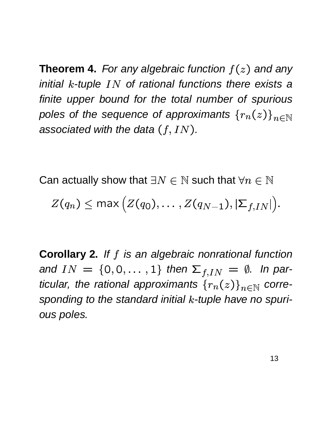**Theorem 4.** For any algebraic function  $f(z)$  and any initial  $k$ -tuple  $IN$  of rational functions there exists a finite upper bound for the total number of spurious poles of the sequence of approximants  $\{r_n(z)\}_{n\in\mathbb{N}}$ associated with the data  $(f,IN)$ . .

Can actually show that  $\exists N \in \mathbb{N}$  such that  $\forall n \in \mathbb{N}$ 

 $Z(a) < \text{max}$  $1 < \max (7(a_2)$   $7(a_1, 1)$  $q_{N-1}$ ),  $\left|\sum f_{IN}\right|$ ).

**Corollary 2.** If f is an algebraic nonrational function and  $IN = \{0, 0, \ldots, 1\}$  then  $\Sigma_{f, IN} = \emptyset$ . In particular, the rational approximants  ${r_n(z)}_{n\in\mathbb{N}}$  corresponding to the standard initial  $k$ -tuple have no spurious poles.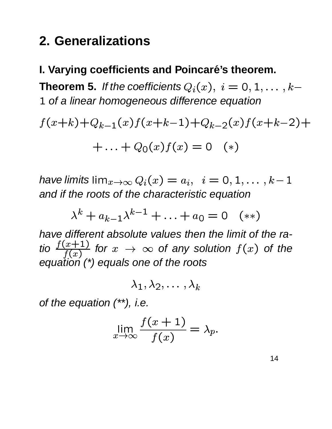## **2. Generalizations**

#### **I. Varying coefficients and Poincaré's theorem.**

**Theorem 5.** If the coefficients  $Q_i(x),\; i=0,1,\ldots,k-1$   $\mathbf{r}_{\ell}$  and  $\mathbf{r}_{\ell}$  and  $\mathbf{r}_{\ell}$  and  $\mathbf{r}_{\ell}$  and  $\mathbf{r}_{\ell}$  and  $\mathbf{r}_{\ell}$  and  $\mathbf{r}_{\ell}$  and  $\mathbf{r}_{\ell}$  and  $\mathbf{r}_{\ell}$  and  $\mathbf{r}_{\ell}$  and  $\mathbf{r}_{\ell}$  and  $\mathbf{r}_{\ell}$  and  $\mathbf{r}_{\ell}$  and  $\mathbf{r}_{\ell}$  a 1 of a linear homogeneous difference equation

 -  $(k+1)(k-1)(x)$  f(x+k-1) +  $(k-1)+Q_k \quad 2(x) f(x+k-2)+$   $\ldots + Q_0(x) f(x) = 0$  (\*)

have limits  $\lim_{x\to\infty}Q_i(x)=a_i, \ \ i=0,1,\ldots,k-1$  and if the roots of the characteristic equation the contract of the contract of the contract of the contract of the contract of the contract of the contract of  $\mathcal{L} = \mathcal{L}$ 

$$
\lambda^{k} + a_{k-1}\lambda^{k-1} + \ldots + a_0 = 0 \quad (**)
$$

have different absolute values then the limit of the ratio  $\frac{f(x+1)}{f(x)}$  for  $x \to \infty$  $\frac{x+1}{f(x)}$  for  $x \to \infty$  of any solution  $f(x)$  of the equation (\*) equals one of the roots

$$
\lambda_1, \lambda_2, \ldots \, , \lambda_k
$$

of the equation (\*\*), i.e.

$$
\lim_{x \to \infty} \frac{f(x+1)}{f(x)} = \lambda_p.
$$

14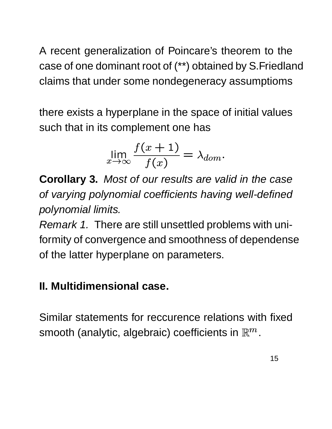A recent generalization of Poincare's theorem to the case of one dominant root of (\*\*) obtained by S.Friedland claims that under some nondegeneracy assumptioms

there exists a hyperplane in the space of initial values such that in its complement one has

$$
\lim_{x \to \infty} \frac{f(x+1)}{f(x)} = \lambda_{dom}.
$$

**Corollary 3.** Most of our results are valid in the case of varying polynomial coefficients having well-defined polynomial limits.

Remark 1. There are still unsettled problems with uniformity of convergence and smoothness of dependense of the latter hyperplane on parameters.

#### **II. Multidimensional case.**

Similar statements for reccurence relations with fixed smooth (analytic, algebraic) coefficients in  $\mathbb{R}^m$  .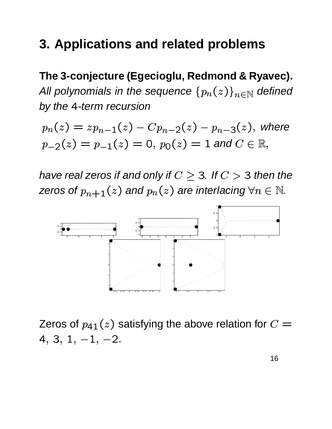#### **3. Applications and related problems**

**The 3-conjecture (Egecioglu, Redmond & Ryavec).** All polynomials in the sequence  $\left\{ p_{n}(z)\right\} _{n\in\mathbb{N}}$  $(z)\}_{n\in\mathbb{N}}$  defined by the 4-term recursion

 $n(z) - z<sub>I</sub>$  $(z) = zp_{n-1}(z) - Cp_{n-1}$  $p_2(z) = p_{-1}(z) = 0, p_0(z) = 1$  and  $C \in \mathbb{R},$  $-\frac{Cp_{n-2}(z)}{P}$ - -  $-p_{n-3}(z)$ , with  $_3(z)$ , where

have real zeros if and only if  $C \geq 3$ . If  $C > 3$  then the zeros of  $p_{n+1}(z)$  and  $p_n(z)$  are ii (  $z$  ) are interlacing  $\forall n \in \mathbb{N}$ .



Zeros of  $_{\rm 41}(z)$  satisfying the above relation for  $C=$   $-1$   $-1$   $-1$  the contract of the contract of the contract of the contract of the contract of the contract of the contract of — 」, — ∠.  $, -2.$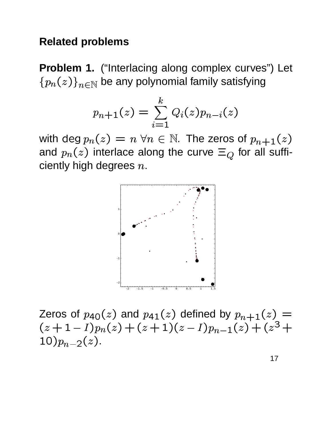#### **Related problems**

**Problem 1.** ("Interlacing along complex curves") Let  $n \in \mathcal{F}$  frem  $(z)\}_{n\in\mathbb{N}}$  be any polynomial family satisfying

$$
p_{n+1}(z)=\sum_{i=1}^k Q_i(z)p_{n-i}(z)
$$

with deg  $p_n(z) = n$ and  $p_n(z)$  interlace along the curve  $\Xi_Q$  for  $\tau(z)=n\,\,\forall n\in\mathbb{N}.$  The zeros of  $p_{n+1}(z)$ ciently high degrees  $n$ .  $(z)$  interlace along the curve  $\Xi_{\mathcal{Q}}$  for all suffi-



Zeros of  $(z+1-I)p_n(z)+(z+1)(z-I)p_{n-1}(z)$  $_{\rm 40}(z)$  and  $p_{\rm 40}$  $a_1(z)$  defined by  $p_{n+1}(z) =$ . . . . . . -  $\blacksquare$   $\blacksquare$   $\blacksquare$   $\blacksquare$   $\blacksquare$   $\blacksquare$   $\blacksquare$   $\blacksquare$   $\blacksquare$   $\blacksquare$   $\blacksquare$   $\blacksquare$   $\blacksquare$   $\blacksquare$   $\blacksquare$   $\blacksquare$   $\blacksquare$   $\blacksquare$   $\blacksquare$   $\blacksquare$   $\blacksquare$   $\blacksquare$   $\blacksquare$   $\blacksquare$   $\blacksquare$   $\blacksquare$   $\blacksquare$   $\blacksquare$   $\blacksquare$   $\blacksquare$   $\blacksquare$   $\blacks$  -  $I) p_{n-1}(z) + (z^3 + z^2)$  - $\frac{1}{2}$ the contract of the contract of the contract of the contract of the contract of the contract of the contract of \_ \_ \_ \_ \_ \_ \_ \_ \_ 0) $p_{n-2}(z)$ .  $_2(z)$ .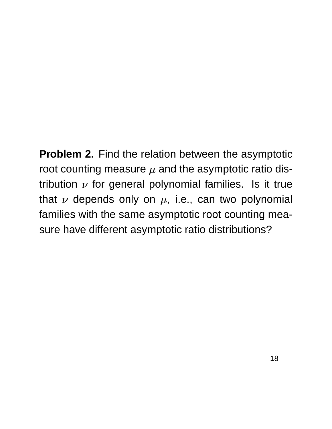**Problem 2.** Find the relation between the asymptotic root counting measure  $\mu$  and the asymptotic ratio distribution  $\nu$  for general polynomial families. Is it true that  $\nu$  depends only on  $\mu$ , i.e., can two polynomial families with the same asymptotic root counting measure have different asymptotic ratio distributions?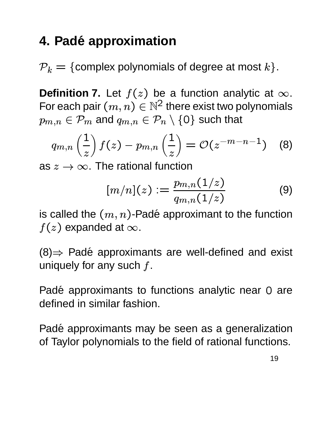## **4. Pade approximation ´**

 $\mathcal{P}_k = \{\text{complex polynomials of degree at most } k\}.$ 

**Definition 7.** Let  $f(z)$  be a function analytic at  $\infty$ . For each pair  $(m, n) \in \mathbb{N}^2$  there  $\mathcal{A}\in\mathbb{N}^2$  there exist two polynomials  $m, n \in \mathcal{F}$   $m$  and  $\{n\in\mathcal{P}_m \text{ and } q_{m,n}\in\mathcal{P}_n\setminus\{\text{O}\} \text{ such }$  ${0}$  such that

$$
q_{m,n}\left(\frac{1}{z}\right)f(z)-p_{m,n}\left(\frac{1}{z}\right)=\mathcal{O}(z^{-m-n-1})\quad \text{(8)}
$$

as  $z\rightarrow\infty.$  The rational function

$$
[m/n](z) := \frac{p_{m,n}(1/z)}{q_{m,n}(1/z)}
$$
(9)

is called the  $\left( m,n\right)$ -Padé appro . . . . . . . . . . . . )-Padé approximant to the function  $f(z)$  expanded at  $\infty.$ 

 $(8) \Rightarrow$  Padé approximants are well-defined and exist uniquely for any such  $f$ .

Padé approximants to functions analytic near 0 are defined in similar fashion.

Padé approximants may be seen as a generalization of Taylor polynomials to the field of rational functions.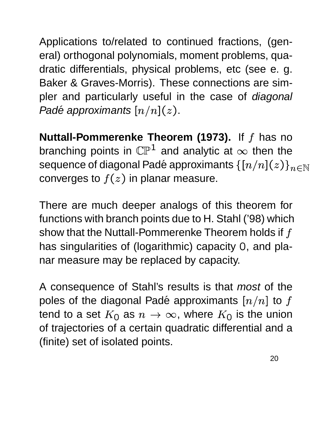Applications to/related to continued fractions, (general) orthogonal polynomials, moment problems, quadratic differentials, physical problems, etc (see e. g. Baker & Graves-Morris). These connections are simpler and particularly useful in the case of *diagonal* Padé approximants  $\left[n/n\right](z)$ .

**Nuttall-Pommerenke Theorem (1973).** If f has no branching points in  $\mathbb{CP}^1$  and analytic at  $\infty$  then the sequence of diagonal Padé approximants  $\left\{\left[n/n\right](z)\right\}_{n\in\mathbb{N}}$ converges to  $f(z)$  in planar measure.

There are much deeper analogs of this theorem for functions with branch points due to H. Stahl ('98) which show that the Nuttall-Pommerenke Theorem holds if  $f$ has singularities of (logarithmic) capacity 0, and planar measure may be replaced by capacity.

A consequence of Stahl's results is that most of the poles of the diagonal Padé approximants  $\left[n/n\right]$  to  $f$ tend to a set  $K_0$  as  $n \to \infty$ , where  $K_0$  is the union of trajectories of a certain quadratic differential and a (finite) set of isolated points.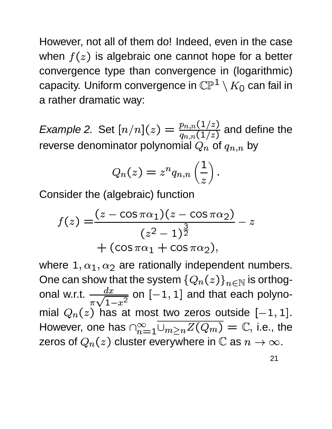However, not all of them do! Indeed, even in the case when  $f(z)$  is algebraic one cannot hope for a better convergence type than convergence in (logarithmic) capacity. Uniform convergence in  $\mathbb{CP}^1\setminus K_0$  can f  $K_{\mathbf{\mathrm{O}}}$  can fail in a rather dramatic way:

*Example 2.* Set  $[n/n](z) = \frac{p_{n,n}(1/z)}{z(1/z)}$  and denote  $q_{n,n}(1/z)$  and  $\frac{z}{z}$  and define the reverse denominator polynomial  $Q_n$  of  $q_{n,n}$  by by

$$
Q_n(z)=z^n q_{n,n}\left(\frac{1}{z}\right).
$$

Consider the (algebraic) function

$$
f(z) = \frac{(z - \cos \pi \alpha_1)(z - \cos \pi \alpha_2)}{(z^2 - 1)^{\frac{3}{2}}} - z
$$
  
+ 
$$
(\cos \pi \alpha_1 + \cos \pi \alpha_2),
$$

where  $1, \alpha_1, \alpha_2$  are rationally independent numbers. One can show that the system  $\{Q_n(z)\}_{n\in\mathbb{N}}$  is orthogonal w.r.t.  $\frac{dx}{\sqrt{2\pi}}$  on [  $\pi\sqrt{1-x^2}$   $\frac{1}{2}$  on  $[-1,1]$  and that each polynomial  $Q_n(z)$  has at most two zeros outside  $[-1,1].$ However, one has  $\bigcap_{n=1}^{\infty} \bigcup_{m>n} Z(Q_m) = \mathbb{C},$  )  $= \mathbb{C},$  i.e., the zeros of  $Q_n(z)$  cluster everywhere in  $\mathbb C$  as  $n\to\infty.$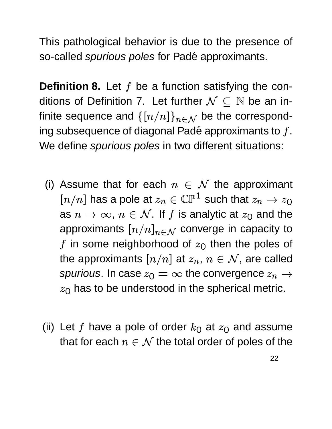This pathological behavior is due to the presence of so-called *spurious poles* for Padé approximants.

**Definition 8.** Let  $f$  be a function satisfying the conditions of Definition 7. Let further  $\mathcal{N} \subseteq \mathbb{N}$  be an infinite sequence and  $\{[n/n]\}_{n\in\mathcal{N}}$  be the corresponding subsequence of diagonal Padé approximants to  $f$ . We define *spurious poles* in two different situations:

- (i) Assume that for each  $n \in \mathcal{N}$  the approximant  $[n/n]$  has a pole at  $z_n\in \mathbb{CP}^1$  such that  $z_n\to z_0$ as  $n \to \infty$ ,  $n \in \mathcal{N}$ . If  $f$  is analytic at  $z_0$  and the approximants  $[n/n]_{n\in\mathcal{N}}$  converge in capacity to  $f$  in some neighborhood of  $z_{\rm O}$  then the poles of the approximants  $[n/n]$  at  $z_n, \, n \in \mathcal{N},$  are called spurious. In case  $z_0=\infty$  the convergence  $z_n\to z$  $\sim$  has to h has to be understood in the spherical metric.
- (ii) Let f have a pole of order  $k_0$  at  $z_0$  at - - - at  $z_0$  and assume that for each  $n \in \mathcal{N}$  the total order of poles of the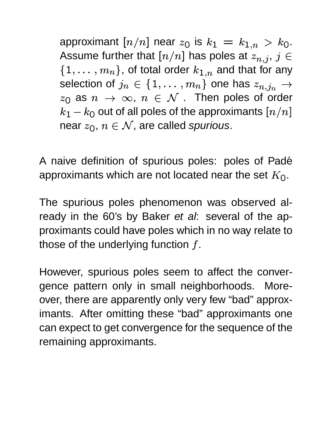approximant  $[n/n]$  near  $z_0$  is  $k_1\,=\,k_{1..n}\,>\,k_0.$ . Assume further that  $[n/n]$  has poles at  $z_{n,j},\,j\in\mathbb{Z}$ . . . . ,  $j \in$  $\mathcal{L}$  . The contract of the contract of the contract of the contract of the contract of the contract of the contract of the contract of the contract of the contract of the contract of the contract of the contract of th ------------  $llln$  ). UL lulai UIUC }, of total order  $k_{1,n}$  and tl  $_{1.n}$  and that for any selection of  $j_n \in \{1, \ldots, m_n\}$  $I$ l $\ell$ n  $\zeta$  UHG HQS  $\measuredangle_{\bm{m}}$  ( } one has  $z_{n \ldotp j_n} \rightarrow$  !  $\sim$   $\Omega$   $\sim$ as  $n \, \rightarrow \, \infty, \; n \, \in \, {\cal N}$  . Then poles of order  $\kappa$ 1  $\kappa$ n out of all pr out of all poles of the approximants  $\left[n/n\right]$ near  $z_0, \, n \in \mathcal{N},$  are called spurious.

A naive definition of spurious poles: poles of Padé approximants which are not located near the set  $K_{\rm O}$ .

The spurious poles phenomenon was observed already in the 60's by Baker et al: several of the approximants could have poles which in no way relate to those of the underlying function  $f$ .

However, spurious poles seem to affect the convergence pattern only in small neighborhoods. Moreover, there are apparently only very few "bad" approximants. After omitting these "bad" approximants one can expect to get convergence for the sequence of the remaining approximants.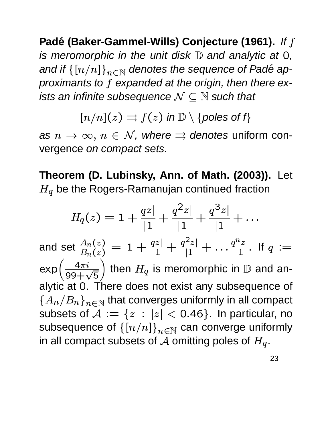**Padé (Baker-Gammel-Wills) Conjecture (1961).** If f is meromorphic in the unit disk  $\mathbb D$  and analytic at 0, and if  $\{[n/n]\}_{n\in\mathbb{N}}$  denotes the sequence of Padé approximants to f expanded at the origin, then there exists an infinite subsequence  $\mathcal{N} \subseteq \mathbb{N}$  such that

> $\lceil n/n \rceil(z) \rightrightarrows f(z)$   $f(z)$  in  $\mathbb{D}\setminus\{$  poles of  $f\}$

as  $n \to \infty$ ,  $n \in \mathcal{N}$ , where  $\Rightarrow$  denotes uniform convergence on compact sets.

**Theorem (D. Lubinsky, Ann. of Math. (2003)).** Let  $_{q}$  be the Rogers-Ramanujan continued fraction

$$
H_q(z) = 1 + \frac{qz}{|1} + \frac{q^2z}{|1} + \frac{q^3z}{|1} + \dots
$$
  
and set  $\frac{A_n(z)}{B_n(z)} = 1 + \frac{qz}{|1} + \frac{q^2z}{|1} + \dots + \frac{q^nz}{|1|}$ . If  $q :=$   
 $\exp\left(\frac{4\pi i}{99 + \sqrt{5}}\right)$  then  $H_q$  is meromorphic in D and an-  
alytic at 0. There does not exist any subsequence of  
 $\{A_n/B_n\}_{n \in \mathbb{N}}$  that converges uniformly in all compact  
subsets of  $A := \{z : |z| < 0.46\}$ . In particular, no  
subsequence of  $\{[n/n]\}_{n \in \mathbb{N}}$  can converge uniformly  
in all compact subsets of A omitting poles of  $H_q$ .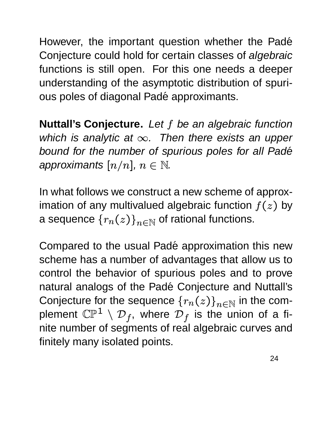However, the important question whether the Padé Conjecture could hold for certain classes of algebraic functions is still open. For this one needs a deeper understanding of the asymptotic distribution of spurious poles of diagonal Padé approximants.

**Nuttall's Conjecture.** Let f be an algebraic function which is analytic at  $\infty$ . Then there exists an upper bound for the number of spurious poles for all Padé approximants  $[n/n]$ ,  $n\in\mathbb{N}$ .

In what follows we construct a new scheme of approximation of any multivalued algebraic function  $f(z)$  by a sequence  ${r_n(z)}_{n \in \mathbb{N}}$  of rational functions.

Compared to the usual Padé approximation this new scheme has a number of advantages that allow us to control the behavior of spurious poles and to prove natural analogs of the Padé Conjecture and Nuttall's Conjecture for the sequence  ${r_n(z)}_{n\in\mathbb{N}}$  in the complement  $\mathbb{CP}^1\,\setminus\, \mathcal{D}_f$ , where  $\mathcal{D}_f$ f, where  $\mathcal{D}_f$  is the union of a finite number of segments of real algebraic curves and finitely many isolated points.